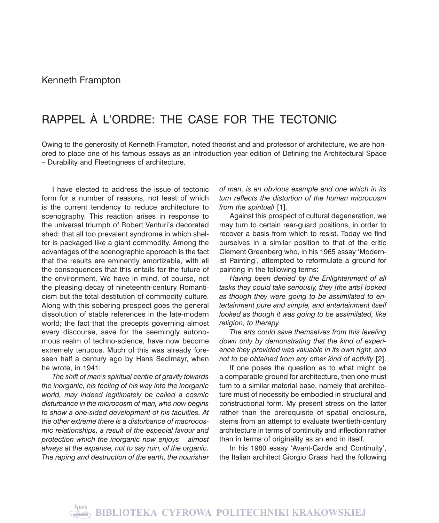## RAPPEL À L'ORDRE: THE CASE FOR THE TECTONIC

Owing to the generosity of Kenneth Frampton, noted theorist and and professor of architecture, we are honored to place one of his famous essays as an introduction year edition of Defining the Architectural Space – Durability and Fleetingness of architecture.

I have elected to address the issue of tectonic form for a number of reasons, not least of which is the current tendency to reduce architecture to scenography. This reaction arises in response to the universal triumph of Robert Venturi's decorated shed; that all too prevalent syndrome in which shelter is packaged like a giant commodity. Among the advantages of the scenographic approach is the fact that the results are eminently amortizable, with all the consequences that this entails for the future of the environment. We have in mind, of course, not the pleasing decay of nineteenth-century Romanticism but the total destitution of commodity culture. Along with this sobering prospect goes the general dissolution of stable references in the late-modern world; the fact that the precepts governing almost every discourse, save for the seemingly autonomous realm of techno-science, have now become extremely tenuous. Much of this was already foreseen half a century ago by Hans Sedlmayr, when he wrote, in 1941:

*The shift of man's spiritual centre of gravity towards the inorganic, his feeling of his way into the inorganic world, may indeed legitimately be called a cosmic disturbance in the microcosm of man, who now begins to show a one-sided development of his faculties. At the other extreme there is a disturbance of macrocosmic relationships, a result of the especial favour and protection which the inorganic now enjoys – almost always at the expense, not to say ruin, of the organic. The raping and destruction of the earth, the nourisher* 

*of man, is an obvious example and one which in its turn reflects the distortion of the human microcosm from the spirituall* [1].

Against this prospect of cultural degeneration, we may turn to certain rear-guard positions, in order to recover a basis from which to resist. Today we find ourselves in a similar position to that of the critic Clement Greenberg who, in his 1965 essay 'Modernist Painting', attempted to reformulate a ground for painting in the following terms:

*Having been denied by the Enlightenment of all tasks they could take seriously, they [the arts] looked as though they were going to be assimilated to entertainment pure and simple, and entertainment itself looked as though it was going to be assimilated, like religion, to therapy.*

*The arts could save themselves from this leveling down only by demonstrating that the kind of experience they provided was valuable in its own right, and not to be obtained from any other kind of activity* [2]*.*

If one poses the question as to what might be a comparable ground for architecture, then one must turn to a similar material base, namely that architecture must of necessity be embodied in structural and constructional form. My present stress on the latter rather than the prerequisite of spatial enclosure, stems from an attempt to evaluate twentieth-century architecture in terms of continuity and inflection rather than in terms of originality as an end in itself.

In his 1980 essay 'Avant-Garde and Continuity', the Italian architect Giorgio Grassi had the following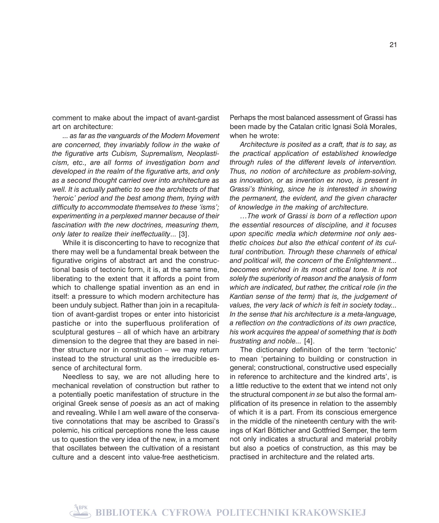comment to make about the impact of avant-gardist art on architecture:

*... as far as the vanguards of the Modern Movement are concerned, they invariably follow in the wake of the figurative arts Cubism, Supremalism, Neoplasticism, etc., are all forms of investigation born and developed in the realm of the figurative arts, and only as a second thought carried over into architecture as well. It is actually pathetic to see the architects of that 'heroic' period and the best among them, trying with difficulty to accommodate themselves to these 'isms'; experimenting in a perplexed manner because of their fascination with the new doctrines, measuring them, only later to realize their ineffectuality*... [3].

While it is disconcerting to have to recognize that there may well be a fundamental break between the figurative origins of abstract art and the constructional basis of tectonic form, it is, at the same time, liberating to the extent that it affords a point from which to challenge spatial invention as an end in itself: a pressure to which modern architecture has been unduly subject. Rather than join in a recapitulation of avant-gardist tropes or enter into historicist pastiche or into the superfluous proliferation of sculptural gestures – all of which have an arbitrary dimension to the degree that they are based in neither structure nor in construction – we may return instead to the structural unit as the irreducible essence of architectural form.

Needless to say, we are not alluding here to mechanical revelation of construction but rather to a potentially poetic manifestation of structure in the original Greek sense of *poesis* as an act of making and revealing. While I am well aware of the conservative connotations that may be ascribed to Grassi's polemic, his critical perceptions none the less cause us to question the very idea of the new, in a moment that oscillates between the cultivation of a resistant culture and a descent into value-free aestheticism. Perhaps the most balanced assessment of Grassi has been made by the Catalan critic lgnasi Solà Morales, when he wrote:

*Architecture is posited as a craft, that is to say, as the practical application of established knowledge through rules of the different levels of intervention. Thus, no notion of architecture as problem-solving, as innovation, or as invention ex novo, is present in Grassi's thinking, since he is interested in showing the permanent, the evident, and the given character of knowledge in the making of architecture.*

*…The work of Grassi is born of a reflection upon the essential resources of discipline, and it focuses upon specific media which determine not only aesthetic choices but also the ethical content of its cultural contribution. Through these channels of ethical and political will, the concern of the Enlightenment... becomes enriched in its most critical tone. It is not solely the superiority of reason and the analysis of form which are indicated, but rather, the critical role (in the Kantian sense of the term) that is, the judgement of values, the very lack of which is felt in society today... In the sense that his architecture is a meta-language, a reflection on the contradictions of its own practice, his work acquires the appeal of something that is both frustrating and noble...* [4].

The dictionary definition of the term 'tectonic' to mean 'pertaining to building or construction in general; constructional, constructive used especially in reference to architecture and the kindred arts', is a little reductive to the extent that we intend not only the structural component *in se* but also the formal amplification of its presence in relation to the assembly of which it is a part. From its conscious emergence in the middle of the nineteenth century with the writings of Karl Bötticher and Gottfried Semper, the term not only indicates a structural and material probity but also a poetics of construction, as this may be practised in architecture and the related arts.

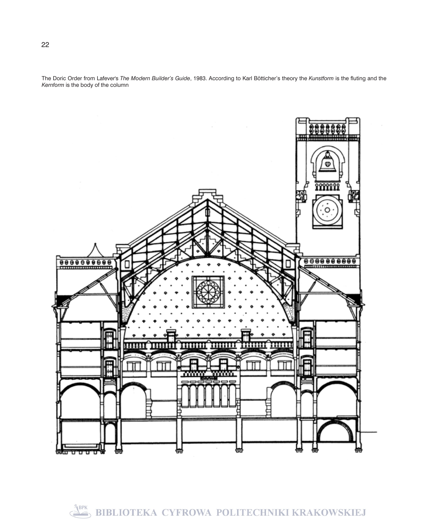The Doric Order from Lafever's *The Modern Builder's Guide*, 1983. According to Karl Bötticher's theory the *Kunstform* is the fluting and the *Kernform* is the body of the column





22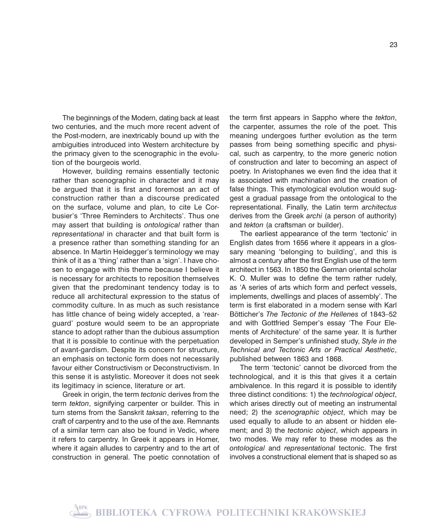The beginnings of the Modern, dating back at least two centuries, and the much more recent advent of the Post-modern, are inextricably bound up with the ambiguities introduced into Western architecture by the primacy given to the scenographic in the evolution of the bourgeois world.

However, building remains essentially tectonic rather than scenographic in character and it may be argued that it is first and foremost an act of construction rather than a discourse predicated on the surface, volume and plan, to cite Le Corbusier's 'Three Reminders to Architects'. Thus one may assert that building is *ontological* rather than *representational* in character and that built form is a presence rather than something standing for an absence. In Martin Heidegger's terminology we may think of it as a 'thing' rather than a 'sign'. I have chosen to engage with this theme because I believe it is necessary for architects to reposition themselves given that the predominant tendency today is to reduce all architectural expression to the status of commodity culture. In as much as such resistance has little chance of being widely accepted, a 'rearguard' posture would seem to be an appropriate stance to adopt rather than the dubious assumption that it is possible to continue with the perpetuation of avant-gardism. Despite its concern for structure, an emphasis on tectonic form does not necessarily favour either Constructivism or Deconstructivism. In this sense it is astylistic. Moreover it does not seek its legitimacy in science, literature or art.

Greek in origin, the term *tectonic* derives from the term *tekton*, signifying carpenter or builder. This in turn stems from the Sanskrit *taksan*, referring to the craft of carpentry and to the use of the axe. Remnants of a similar term can also be found in Vedic, where it refers to carpentry. In Greek it appears in Homer, where it again alludes to carpentry and to the art of construction in general. The poetic connotation of the term first appears in Sappho where the *tekton*, the carpenter, assumes the role of the poet. This meaning undergoes further evolution as the term passes from being something specific and physical, such as carpentry, to the more generic notion of construction and later to becoming an aspect of poetry. In Aristophanes we even find the idea that it is associated with machination and the creation of false things. This etymological evolution would suggest a gradual passage from the ontological to the representational. Finally, the Latin term *architectus* derives from the Greek *archi* (a person of authority) and *tekton* (a craftsman or builder).

The earliest appearance of the term 'tectonic' in English dates from 1656 where it appears in a glossary meaning 'belonging to building', and this is almost a century after the first English use of the term architect in 1563. In 1850 the German oriental scholar K. O. Muller was to define the term rather rudely, as 'A series of arts which form and perfect vessels, implements, dwellings and places of assembly'. The term is first elaborated in a modern sense with Karl Bötticher's *The Tectonic of the Hellenes* of 1843–52 and with Gottfried Semper's essay 'The Four Elements of Architecture' of the same year. It is further developed in Semper's unfinished study, *Style in the Technical and Tectonic Arts or Practical Aesthetic*, published between 1863 and 1868.

The term 'tectonic' cannot be divorced from the technological, and it is this that gives it a certain ambivalence. In this regard it is possible to identify three distinct conditions: 1) the *technological object*, which arises directly out of meeting an instrumental need; 2) the *scenographic object*, which may be used equally to allude to an absent or hidden element; and 3) the *tectonic object*, which appears in two modes. We may refer to these modes as the *ontological* and *representational* tectonic. The first involves a constructional element that is shaped so as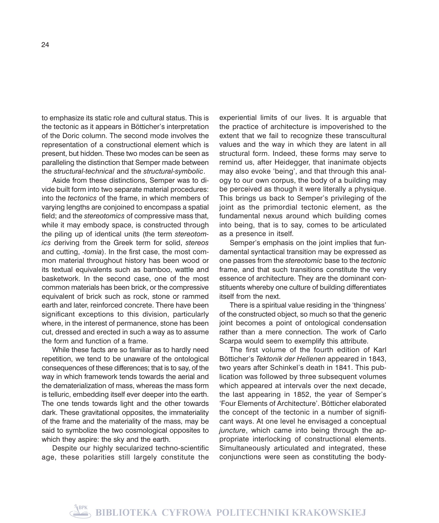to emphasize its static role and cultural status. This is the tectonic as it appears in Bötticher's interpretation of the Doric column. The second mode involves the representation of a constructional element which is present, but hidden. These two modes can be seen as paralleling the distinction that Semper made between the *structural-technical* and the *structural-symbolic*.

Aside from these distinctions, Semper was to divide built form into two separate material procedures: into the *tectonics* of the frame, in which members of varying lengths are conjoined to encompass a spatial field; and the *stereotomics* of compressive mass that, while it may embody space, is constructed through the piling up of identical units (the term *stereotomics* deriving from the Greek term for solid, *stereos* and cutting, -*tomia*). In the first case, the most common material throughout history has been wood or its textual equivalents such as bamboo, wattle and basketwork. In the second case, one of the most common materials has been brick, or the compressive equivalent of brick such as rock, stone or rammed earth and later, reinforced concrete. There have been significant exceptions to this division, particularly where, in the interest of permanence, stone has been cut, dressed and erected in such a way as to assume the form and function of a frame.

While these facts are so familiar as to hardly need repetition, we tend to be unaware of the ontological consequences of these differences; that is to say, of the way in which framework tends towards the aerial and the dematerialization of mass, whereas the mass form is telluric, embedding itself ever deeper into the earth. The one tends towards light and the other towards dark. These gravitational opposites, the immateriality of the frame and the materiality of the mass, may be said to symbolize the two cosmological opposites to which they aspire: the sky and the earth.

Despite our highly secularized techno-scientific age, these polarities still largely constitute the experiential limits of our lives. It is arguable that the practice of architecture is impoverished to the extent that we fail to recognize these transcultural values and the way in which they are latent in all structural form. Indeed, these forms may serve to remind us, after Heidegger, that inanimate objects may also evoke 'being', and that through this analogy to our own corpus, the body of a building may be perceived as though it were literally a physique. This brings us back to Semper's privileging of the joint as the primordial tectonic element, as the fundamental nexus around which building comes into being, that is to say, comes to be articulated as a presence in itself.

Semper's emphasis on the joint implies that fundamental syntactical transition may be expressed as one passes from the *stereotomic* base to the *tectonic* frame, and that such transitions constitute the very essence of architecture. They are the dominant constituents whereby one culture of building differentiates itself from the next.

There is a spiritual value residing in the 'thingness' of the constructed object, so much so that the generic joint becomes a point of ontological condensation rather than a mere connection. The work of Carlo Scarpa would seem to exemplify this attribute.

The first volume of the fourth edition of Karl Bötticher's *Tektonik der Hellenen* appeared in 1843, two years after Schinkel's death in 1841. This publication was followed by three subsequent volumes which appeared at intervals over the next decade, the last appearing in 1852, the year of Semper's 'Four Elements of Architecture'. Bötticher elaborated the concept of the tectonic in a number of significant ways. At one level he envisaged a conceptual *juncture*, which came into being through the appropriate interlocking of constructional elements. Simultaneously articulated and integrated, these conjunctions were seen as constituting the body-

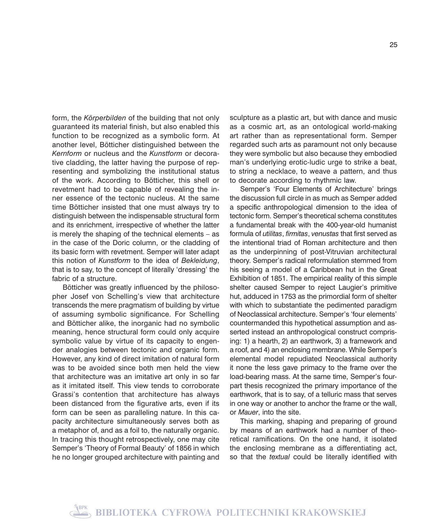form, the *Körperbilden* of the building that not only guaranteed its material finish, but also enabled this function to be recognized as a symbolic form. At another level, Bötticher distinguished between the *Kernform* or nucleus and the *Kunstform* or decorative cladding, the latter having the purpose of representing and symbolizing the institutional status of the work. According to Bötticher, this shell or revetment had to be capable of revealing the inner essence of the tectonic nucleus. At the same time Bötticher insisted that one must always try to distinguish between the indispensable structural form and its enrichment, irrespective of whether the latter is merely the shaping of the technical elements – as in the case of the Doric column, or the cladding of its basic form with revetment. Semper will later adapt this notion of *Kunstform* to the idea of *Bekleidung*, that is to say, to the concept of literally 'dressing' the fabric of a structure.

Bötticher was greatly influenced by the philosopher Josef von Schelling's view that architecture transcends the mere pragmatism of building by virtue of assuming symbolic significance. For Schelling and Bötticher alike, the inorganic had no symbolic meaning, hence structural form could only acquire symbolic value by virtue of its capacity to engender analogies between tectonic and organic form. However, any kind of direct imitation of natural form was to be avoided since both men held the view that architecture was an imitative art only in so far as it imitated itself. This view tends to corroborate Grassi's contention that architecture has always been distanced from the figurative arts, even if its form can be seen as paralleling nature. In this capacity architecture simultaneously serves both as a metaphor of, and as a foil to, the naturally organic. In tracing this thought retrospectively, one may cite Semper's 'Theory of Formal Beauty' of 1856 in which he no longer grouped architecture with painting and sculpture as a plastic art, but with dance and music as a cosmic art, as an ontological world-making art rather than as representational form. Semper regarded such arts as paramount not only because they were symbolic but also because they embodied man's underlying erotic-ludic urge to strike a beat, to string a necklace, to weave a pattern, and thus to decorate according to rhythmic law.

Semper's 'Four Elements of Architecture' brings the discussion full circle in as much as Semper added a specific anthropological dimension to the idea of tectonic form. Semper's theoretical schema constitutes a fundamental break with the 400-year-old humanist formula of *utilitas*, *firmitas*, *venustas* that first served as the intentional triad of Roman architecture and then as the underpinning of post-Vitruvian architectural theory. Semper's radical reformulation stemmed from his seeing a model of a Caribbean hut in the Great Exhibition of 1851. The empirical reality of this simple shelter caused Semper to reject Laugier's primitive hut, adduced in 1753 as the primordial form of shelter with which to substantiate the pedimented paradigm of Neoclassical architecture. Semper's 'four elements' countermanded this hypothetical assumption and asserted instead an anthropological construct comprising: 1) a hearth, 2) an earthwork, 3) a framework and a roof, and 4) an enclosing membrane. While Semper's elemental model repudiated Neoclassical authority it none the less gave primacy to the frame over the load-bearing mass. At the same time, Semper's fourpart thesis recognized the primary importance of the earthwork, that is to say, of a telluric mass that serves in one way or another to anchor the frame or the wall, or *Mauer*, into the site.

This marking, shaping and preparing of ground by means of an earthwork had a number of theoretical ramifications. On the one hand, it isolated the enclosing membrane as a differentiating act, so that the *textual* could be literally identified with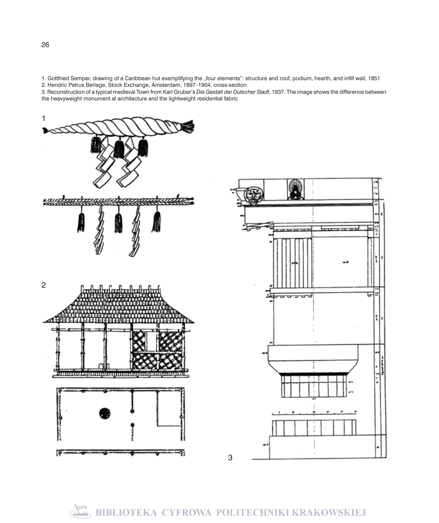1. Gottfried Semper, drawing of a Caribbean hut exemplifying the "four elements": structure and roof, podium, hearth, and infill wall, 1851 2. Hendric Petrus Berlage, Stock Exchange, Amsterdam, 1897–1904, cross-section

3. Reconstruction of a typical medieval Town from Karl Gruber's *Die Gestalt der Dutscher Stadt*, 1937. The image shows the difference between the heavyweight monument al architecture and the lightweight residential fabric





**BIBLIOTEKA CYFROWA POLITECHNIKI KRAKOWSKIEJ**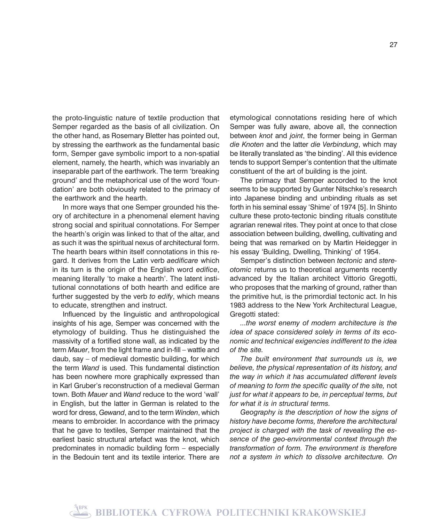the proto-linguistic nature of textile production that Semper regarded as the basis of all civilization. On the other hand, as Rosemary Bletter has pointed out, by stressing the earthwork as the fundamental basic form, Semper gave symbolic import to a non-spatial element, namely, the hearth, which was invariably an inseparable part of the earthwork. The term 'breaking ground' and the metaphorical use of the word 'foundation' are both obviously related to the primacy of the earthwork and the hearth.

In more ways that one Semper grounded his theory of architecture in a phenomenal element having strong social and spiritual connotations. For Semper the hearth's origin was linked to that of the altar, and as such it was the spiritual nexus of architectural form. The hearth bears within itself connotations in this regard. It derives from the Latin verb *aedificare* which in its turn is the origin of the English word *edifice*, meaning literally 'to make a hearth'. The latent institutional connotations of both hearth and edifice are further suggested by the verb *to edify*, which means to educate, strengthen and instruct.

Influenced by the linguistic and anthropological insights of his age, Semper was concerned with the etymology of building. Thus he distinguished the massivity of a fortified stone wall, as indicated by the term *Mauer*, from the light frame and in-fill – wattle and daub, say – of medieval domestic building, for which the term *Wand* is used. This fundamental distinction has been nowhere more graphically expressed than in Karl Gruber's reconstruction of a medieval German town. Both *Mauer* and *Wand* reduce to the word 'wall' in English, but the latter in German is related to the word for dress, *Gewand*, and to the term *Winden*, which means to embroider. In accordance with the primacy that he gave to textiles, Semper maintained that the earliest basic structural artefact was the knot, which predominates in nomadic building form – especially in the Bedouin tent and its textile interior. There are

etymological connotations residing here of which Semper was fully aware, above all, the connection between *knot* and *joint*, the former being in German *die Knoten* and the latter *die Verbindung*, which may be literally translated as 'the binding'. All this evidence tends to support Semper's contention that the ultimate constituent of the art of building is the joint.

The primacy that Semper accorded to the knot seems to be supported by Gunter Nitschke's research into Japanese binding and unbinding rituals as set forth in his seminal essay 'Shime' of 1974 [5]. In Shinto culture these proto-tectonic binding rituals constitute agrarian renewal rites. They point at once to that close association between building, dwelling, cultivating and being that was remarked on by Martin Heidegger in his essay 'Building, Dwelling, Thinking' of 1954.

Semper's distinction between *tectonic* and *stereotomic* returns us to theoretical arguments recently advanced by the Italian architect Vittorio Gregotti, who proposes that the marking of ground, rather than the primitive hut, is the primordial tectonic act. In his 1983 address to the New York Architectural League, Gregotti stated:

*...the worst enemy of modern architecture is the idea of space considered solely in terms of its economic and technical exigencies indifferent to the idea of the site.*

*The built environment that surrounds us is, we believe, the physical representation of its history, and the way in which it has accumulated different levels of meaning to form the specific quality of the site,* not *just for what it appears to be, in perceptual terms, but for what it is in structural terms.*

*Geography is the description of how the signs of history have become forms, therefore the architectural project is charged with the task of revealing the essence of the geo-environmental context through the transformation of form. The environment is therefore not a system in which to dissolve architecture. On*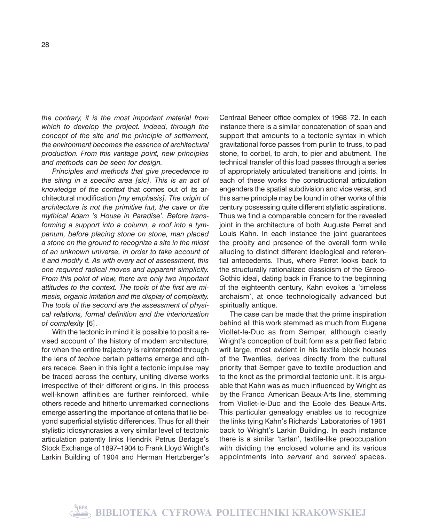*the contrary, it is the most important material from which to develop the project. Indeed, through the concept of the site and the principle of settlement, the environment becomes the essence of architectural production. From this vantage point, new principles and methods can be seen for design.*

*Principles and methods that give precedence to the siting in a specific area [sic]. This is an act of knowledge of the context* that comes out of its architectural modification *[my emphasis]. The origin of architecture is not the primitive hut, the cave or the mythical Adam 's House in Paradise'. Before transforming a support into a column, a roof into a tympanum, before placing stone on stone, man placed a stone on the ground to recognize a site in the midst of an unknown universe, in order to take account of it and modify it. As with every act of assessment, this one required radical moves and apparent simplicity. From this point of view, there are only two important attitudes to the context. The tools of the first are mimesis, organic imitation and the display of complexity. The tools of the second are the assessment of physical relations, formal definition and the interiorization of complexity* [6].

With the tectonic in mind it is possible to posit a revised account of the history of modern architecture, for when the entire trajectory is reinterpreted through the lens of *techne* certain patterns emerge and others recede. Seen in this light a tectonic impulse may be traced across the century, uniting diverse works irrespective of their different origins. In this process well-known affinities are further reinforced, while others recede and hitherto unremarked connections emerge asserting the importance of criteria that lie beyond superficial stylistic differences. Thus for all their stylistic idiosyncrasies a very similar level of tectonic articulation patently links Hendrik Petrus Berlage's Stock Exchange of 1897–1904 to Frank Lloyd Wright's Larkin Building of 1904 and Herman Hertzberger's Centraal Beheer office complex of 1968–72. In each instance there is a similar concatenation of span and support that amounts to a tectonic syntax in which gravitational force passes from purlin to truss, to pad stone, to corbel, to arch, to pier and abutment. The technical transfer of this load passes through a series of appropriately articulated transitions and joints. In each of these works the constructional articulation engenders the spatial subdivision and vice versa, and this same principle may be found in other works of this century possessing quite different stylistic aspirations. Thus we find a comparable concern for the revealed joint in the architecture of both Auguste Perret and Louis Kahn. In each instance the joint guarantees the probity and presence of the overall form while alluding to distinct different ideological and referential antecedents. Thus, where Perret looks back to the structurally rationalized classicism of the Greco-Gothic ideal, dating back in France to the beginning of the eighteenth century, Kahn evokes a 'timeless archaism', at once technologically advanced but spiritually antique.

The case can be made that the prime inspiration behind all this work stemmed as much from Eugene Viollet-le-Duc as from Semper, although clearly Wright's conception of built form as a petrified fabric writ large, most evident in his textile block houses of the Twenties, derives directly from the cultural priority that Semper gave to textile production and to the knot as the primordial tectonic unit. It is arguable that Kahn was as much influenced by Wright as by the Franco–American Beaux-Arts line, stemming from Viollet-le-Duc and the Ecole des Beaux-Arts. This particular genealogy enables us to recognize the links tying Kahn's Richards' Laboratories of 1961 back to Wright's Larkin Building. In each instance there is a similar 'tartan', textile-like preoccupation with dividing the enclosed volume and its various appointments into *servant* and *served* spaces.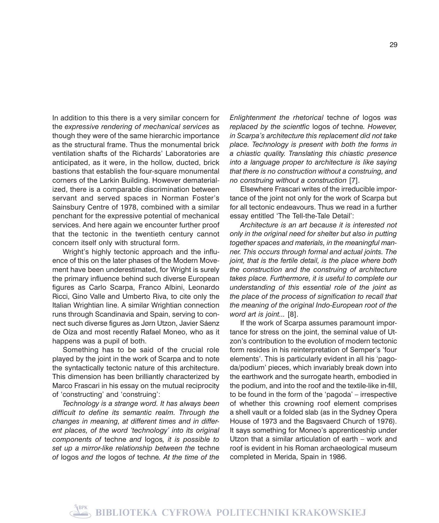In addition to this there is a very similar concern for the *expressive rendering of mechanical services* as though they were of the same hierarchic importance as the structural frame. Thus the monumental brick ventilation shafts of the Richards' Laboratories are anticipated, as it were, in the hollow, ducted, brick bastions that establish the four-square monumental corners of the Larkin Building. However dematerialized, there is a comparable discrimination between servant and served spaces in Norman Foster's Sainsbury Centre of 1978, combined with a similar penchant for the expressive potential of mechanical services. And here again we encounter further proof that the tectonic in the twentieth century cannot concern itself only with structural form.

Wright's highly tectonic approach and the influence of this on the later phases of the Modern Movement have been underestimated, for Wright is surely the primary influence behind such diverse European figures as Carlo Scarpa, Franco Albini, Leonardo Ricci, Gino Valle and Umberto Riva, to cite only the Italian Wrightian line. A similar Wrightian connection runs through Scandinavia and Spain, serving to connect such diverse figures as Jørn Utzon, Javier Sáenz de Oíza and most recently Rafael Moneo, who as it happens was a pupil of both.

Something has to be said of the crucial role played by the joint in the work of Scarpa and to note the syntactically tectonic nature of this architecture. This dimension has been brilliantly characterized by Marco Frascari in his essay on the mutual reciprocity of 'constructing' and 'construing':

*Technology is a strange word. It has always been difficult to define its semantic realm. Through the changes in meaning, at different times and in different places, of the word 'technology' into its original components of* techne *and* logos*, it is possible to set up a mirror-like relationship between the* techne *of* logos *and the* logos *of* techne*. At the time of the*  *Enlightenment the rhetorical* techne *of* logos *was replaced by the scientfic* logos *of* techne*. However, in Scarpa's architecture this replacement did not take place. Technology is present with both the forms in a chiastic quality. Translating this chiastic presence into a language proper to architecture is like saying that there is no construction without a construing, and no construing without a construction* [7].

Elsewhere Frascari writes of the irreducible importance of the joint not only for the work of Scarpa but for all tectonic endeavours. Thus we read in a further essay entitled 'The Tell-the-Tale Detail':

*Architecture is an art because it is interested not only in the original need for shelter but also in putting together spaces and materials, in the meaningful manner. This occurs through formal and actual joints. The joint, that is the fertile detail, is the place where both the construction and the construing of architecture takes place. Furthermore, it is useful to complete our understanding of this essential role of the joint as the place of the process of signification to recall that the meaning of the original Indo-European root of the word art is joint...* [8].

If the work of Scarpa assumes paramount importance for stress on the joint, the seminal value of Utzon's contribution to the evolution of modern tectonic form resides in his reinterpretation of Semper's 'four elements'. This is particularly evident in all his 'pagoda/podium' pieces, which invariably break down into the earthwork and the surrogate hearth, embodied in the podium, and into the roof and the textile-like in-fill, to be found in the form of the 'pagoda' – irrespective of whether this crowning roof element comprises a shell vault or a folded slab (as in the Sydney Opera House of 1973 and the Bagsvaerd Church of 1976). It says something for Moneo's apprenticeship under Utzon that a similar articulation of earth – work and roof is evident in his Roman archaeological museum completed in Merida, Spain in 1986.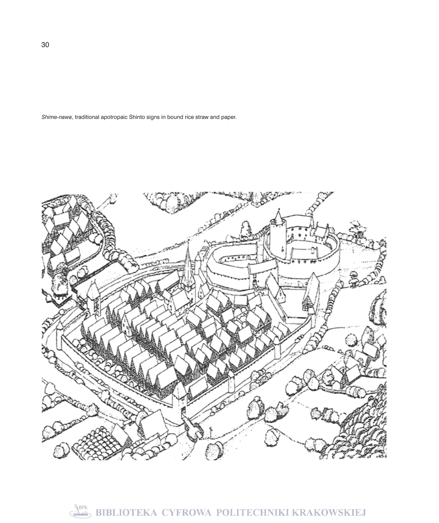*Shime-nawa*, traditional apotropaic Shinto signs in bound rice straw and paper.



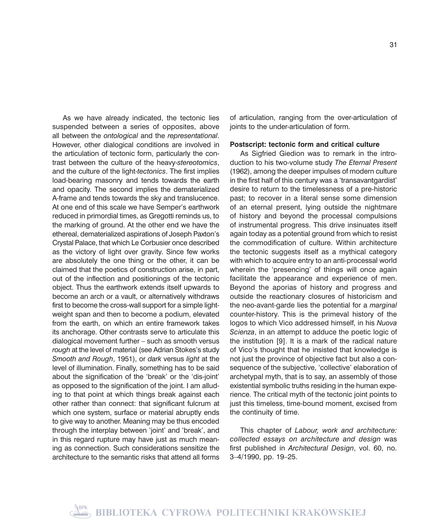As we have already indicated, the tectonic lies suspended between a series of opposites, above all between the *ontological* and the *representational*. However, other dialogical conditions are involved in the articulation of tectonic form, particularly the contrast between the culture of the heavy-*stereotomics*, and the culture of the light-*tectonics*. The first implies load-bearing masonry and tends towards the earth and opacity. The second implies the dematerialized A-frame and tends towards the sky and translucence. At one end of this scale we have Semper's earthwork reduced in primordial times, as Gregotti reminds us, to the marking of ground. At the other end we have the ethereal, dematerialized aspirations of Joseph Paxton's Crystal Palace, that which Le Corbusier once described as the victory of light over gravity. Since few works are absolutely the one thing or the other, it can be claimed that the poetics of construction arise, in part, out of the inflection and positionings of the tectonic object. Thus the earthwork extends itself upwards to become an arch or a vault, or alternatively withdraws first to become the cross-wall support for a simple lightweight span and then to become a podium, elevated from the earth, on which an entire framework takes its anchorage. Other contrasts serve to articulate this dialogical movement further – such as smooth versus *rough* at the level of material (see Adrian Stokes's study *Smooth and Rough*, 1951), or *dark* versus *light* at the level of illumination. Finally, something has to be said about the signification of the 'break' or the 'dis-joint' as opposed to the signification of the joint. I am alluding to that point at which things break against each other rather than connect: that significant fulcrum at which one system, surface or material abruptly ends to give way to another. Meaning may be thus encoded through the interplay between 'joint' and 'break', and in this regard rupture may have just as much meaning as connection. Such considerations sensitize the architecture to the semantic risks that attend all forms

of articulation, ranging from the over-articulation of joints to the under-articulation of form.

## **Postscript: tectonic form and critical culture**

As Sigfried Giedion was to remark in the introduction to his two-volume study *The Eternal Present*  (1962), among the deeper impulses of modern culture in the first half of this century was a 'transavantgardist' desire to return to the timelessness of a pre-historic past; to recover in a literal sense some dimension of an eternal present, lying outside the nightmare of history and beyond the processal compulsions of instrumental progress. This drive insinuates itself again today as a potential ground from which to resist the commodification of culture. Within architecture the tectonic suggests itself as a mythical category with which to acquire entry to an anti-processal world wherein the 'presencing' of things will once again facilitate the appearance and experience of men. Beyond the aporias of history and progress and outside the reactionary closures of historicism and the neo-avant-garde lies the potential for a *marginal* counter-history. This is the primeval history of the logos to which Vico addressed himself, in his *Nuova Scienza*, in an attempt to adduce the poetic logic of the institution [9]. It is a mark of the radical nature of Vico's thought that he insisted that knowledge is not just the province of objective fact but also a consequence of the subjective, 'collective' elaboration of archetypal myth, that is to say, an assembly of those existential symbolic truths residing in the human experience. The critical myth of the tectonic joint points to just this timeless, time-bound moment, excised from the continuity of time.

This chapter of *Labour, work and architecture: collected essays on architecture and design* was first published in *Architectural Design*, vol. 60, no. 3–4/1990, pp. 19–25.

31

**BIBLIOTEKA CYFROWA POLITECHNIKI KRAKOWSKIEJ**